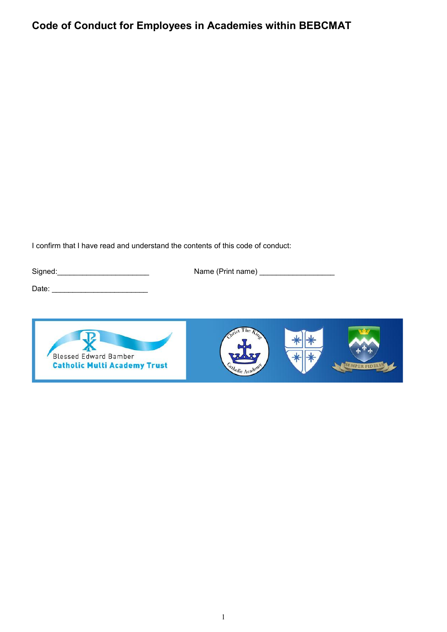# **Code of Conduct for Employees in Academies within BEBCMAT**

I confirm that I have read and understand the contents of this code of conduct:

Signed:\_\_\_\_\_\_\_\_\_\_\_\_\_\_\_\_\_\_\_\_\_\_ Name (Print name) \_\_\_\_\_\_\_\_\_\_\_\_\_\_\_\_\_\_

Date: \_\_\_\_\_\_\_\_\_\_\_\_\_\_\_\_\_\_\_\_\_\_\_



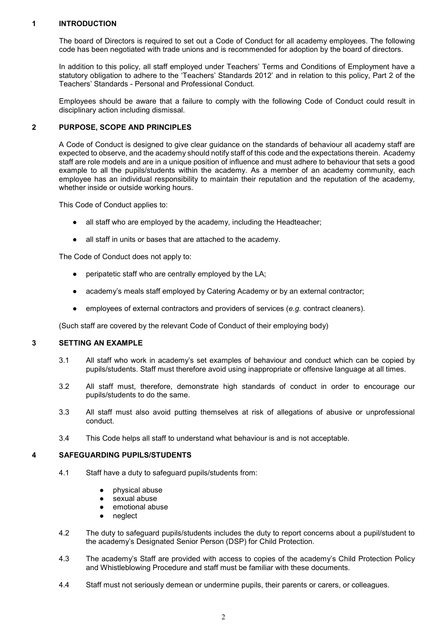## **1 INTRODUCTION**

The board of Directors is required to set out a Code of Conduct for all academy employees. The following code has been negotiated with trade unions and is recommended for adoption by the board of directors.

In addition to this policy, all staff employed under Teachers' Terms and Conditions of Employment have a statutory obligation to adhere to the 'Teachers' Standards 2012' and in relation to this policy, Part 2 of the Teachers' Standards - Personal and Professional Conduct.

Employees should be aware that a failure to comply with the following Code of Conduct could result in disciplinary action including dismissal.

#### **2 PURPOSE, SCOPE AND PRINCIPLES**

A Code of Conduct is designed to give clear guidance on the standards of behaviour all academy staff are expected to observe, and the academy should notify staff of this code and the expectations therein. Academy staff are role models and are in a unique position of influence and must adhere to behaviour that sets a good example to all the pupils/students within the academy. As a member of an academy community, each employee has an individual responsibility to maintain their reputation and the reputation of the academy, whether inside or outside working hours.

This Code of Conduct applies to:

- all staff who are employed by the academy, including the Headteacher;
- all staff in units or bases that are attached to the academy.

The Code of Conduct does not apply to:

- peripatetic staff who are centrally employed by the LA;
- academy's meals staff employed by Catering Academy or by an external contractor;
- employees of external contractors and providers of services (*e.g.* contract cleaners).

(Such staff are covered by the relevant Code of Conduct of their employing body)

#### **3 SETTING AN EXAMPLE**

- 3.1 All staff who work in academy's set examples of behaviour and conduct which can be copied by pupils/students. Staff must therefore avoid using inappropriate or offensive language at all times.
- 3.2 All staff must, therefore, demonstrate high standards of conduct in order to encourage our pupils/students to do the same.
- 3.3 All staff must also avoid putting themselves at risk of allegations of abusive or unprofessional conduct.
- 3.4 This Code helps all staff to understand what behaviour is and is not acceptable.

## **4 SAFEGUARDING PUPILS/STUDENTS**

- 4.1 Staff have a duty to safeguard pupils/students from:
	- physical abuse
	- sexual abuse
	- emotional abuse
	- neglect
- 4.2 The duty to safeguard pupils/students includes the duty to report concerns about a pupil/student to the academy's Designated Senior Person (DSP) for Child Protection.
- 4.3 The academy's Staff are provided with access to copies of the academy's Child Protection Policy and Whistleblowing Procedure and staff must be familiar with these documents.
- 4.4 Staff must not seriously demean or undermine pupils, their parents or carers, or colleagues.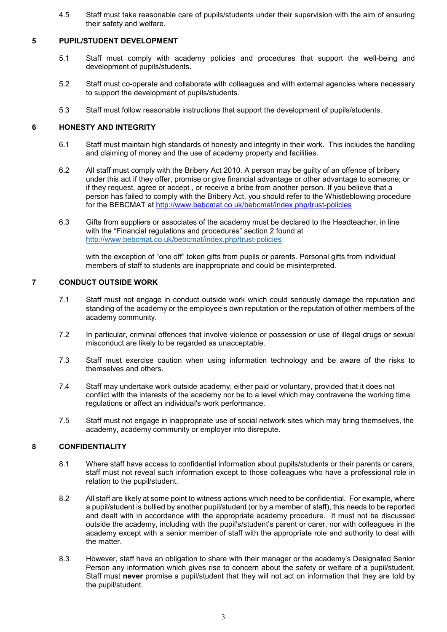4.5 Staff must take reasonable care of pupils/students under their supervision with the aim of ensuring their safety and welfare.

### **5 PUPIL/STUDENT DEVELOPMENT**

- 5.1 Staff must comply with academy policies and procedures that support the well-being and development of pupils/students.
- 5.2 Staff must co-operate and collaborate with colleagues and with external agencies where necessary to support the development of pupils/students.
- 5.3 Staff must follow reasonable instructions that support the development of pupils/students.

# **6 HONESTY AND INTEGRITY**

- 6.1 Staff must maintain high standards of honesty and integrity in their work. This includes the handling and claiming of money and the use of academy property and facilities.
- 6.2 All staff must comply with the Bribery Act 2010. A person may be guilty of an offence of bribery under this act if they offer, promise or give financial advantage or other advantage to someone; or if they request, agree or accept , or receive a bribe from another person. If you believe that a person has failed to comply with the Bribery Act, you should refer to the Whistleblowing procedure for the BEBCMAT at http://www.bebcmat.co.uk/bebcmat/index.php/trust-policies
- 6.3 Gifts from suppliers or associates of the academy must be declared to the Headteacher, in line with the "Financial regulations and procedures" section 2 found at <http://www.bebcmat.co.uk/bebcmat/index.php/trust-policies>

with the exception of "one off" token gifts from pupils or parents. Personal gifts from individual members of staff to students are inappropriate and could be misinterpreted.

#### **7 CONDUCT OUTSIDE WORK**

- 7.1 Staff must not engage in conduct outside work which could seriously damage the reputation and standing of the academy or the employee's own reputation or the reputation of other members of the academy community.
- 7.2 In particular, criminal offences that involve violence or possession or use of illegal drugs or sexual misconduct are likely to be regarded as unacceptable.
- 7.3 Staff must exercise caution when using information technology and be aware of the risks to themselves and others.
- 7.4 Staff may undertake work outside academy, either paid or voluntary, provided that it does not conflict with the interests of the academy nor be to a level which may contravene the working time regulations or affect an individual's work performance.
- 7.5 Staff must not engage in inappropriate use of social network sites which may bring themselves, the academy, academy community or employer into disrepute.

## **8 CONFIDENTIALITY**

- 8.1 Where staff have access to confidential information about pupils/students or their parents or carers, staff must not reveal such information except to those colleagues who have a professional role in relation to the pupil/student.
- 8.2 All staff are likely at some point to witness actions which need to be confidential. For example, where a pupil/student is bullied by another pupil/student (or by a member of staff), this needs to be reported and dealt with in accordance with the appropriate academy procedure. It must not be discussed outside the academy, including with the pupil's/student's parent or carer, nor with colleagues in the academy except with a senior member of staff with the appropriate role and authority to deal with the matter.
- 8.3 However, staff have an obligation to share with their manager or the academy's Designated Senior Person any information which gives rise to concern about the safety or welfare of a pupil/student. Staff must **never** promise a pupil/student that they will not act on information that they are told by the pupil/student.